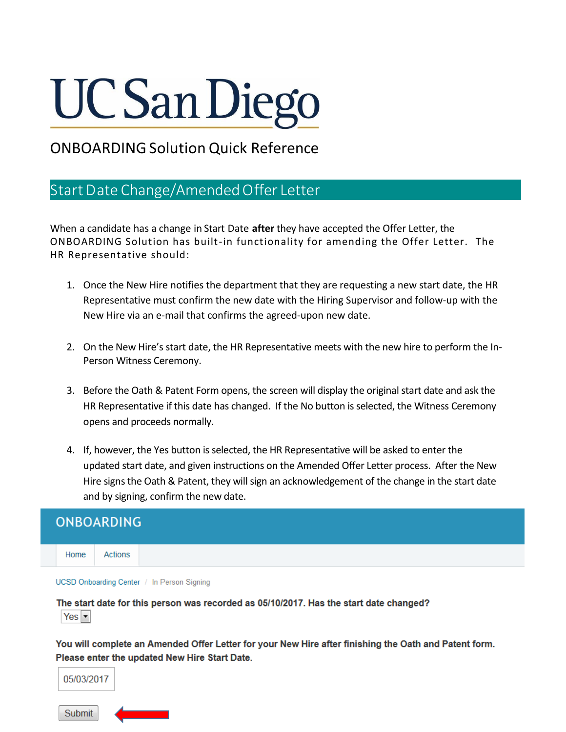## **UC San Diego**

## ONBOARDING Solution Quick Reference

## Start Date Change/Amended Offer Letter

**Submit** 

When a candidate has a change in Start Date **after** they have accepted the Offer Letter, the ONBOARDING Solution has built-in functionality for amending the Offer Letter. The HR Representative should:

- 1. Once the New Hire notifies the department that they are requesting a new start date, the HR Representative must confirm the new date with the Hiring Supervisor and follow-up with the New Hire via an e-mail that confirms the agreed-upon new date.
- 2. On the New Hire's start date, the HR Representative meets with the new hire to perform the In-Person Witness Ceremony.
- 3. Before the Oath & Patent Form opens, the screen will display the original start date and ask the HR Representative if this date has changed. If the No button is selected, the Witness Ceremony opens and proceeds normally.
- 4. If, however, the Yes button is selected, the HR Representative will be asked to enter the updated start date, and given instructions on the Amended Offer Letter process. After the New Hire signs the Oath & Patent, they will sign an acknowledgement of the change in the start date and by signing, confirm the new date.

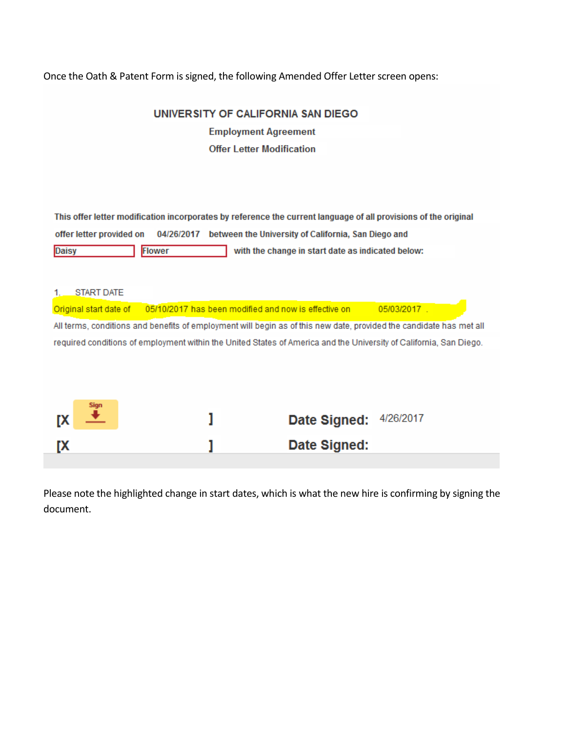Once the Oath & Patent Form is signed, the following Amended Offer Letter screen opens:

| UNIVERSITY OF CALIFORNIA SAN DIEGO                                                                                       |
|--------------------------------------------------------------------------------------------------------------------------|
| <b>Employment Agreement</b>                                                                                              |
| <b>Offer Letter Modification</b>                                                                                         |
|                                                                                                                          |
|                                                                                                                          |
| This offer letter modification incorporates by reference the current language of all provisions of the original          |
| 04/26/2017 between the University of California, San Diego and<br>offer letter provided on                               |
| Flower<br>with the change in start date as indicated below:<br>Daisy                                                     |
|                                                                                                                          |
|                                                                                                                          |
| <b>START DATE</b><br>1.<br>05/10/2017 has been modified and now is effective on<br>05/03/2017.<br>Original start date of |
|                                                                                                                          |
| All terms, conditions and benefits of employment will begin as of this new date, provided the candidate has met all      |
| required conditions of employment within the United States of America and the University of California, San Diego.       |
|                                                                                                                          |
|                                                                                                                          |
| Sign                                                                                                                     |
| 4/26/2017<br>Date Signed:<br>ГX                                                                                          |
| Date Signed:<br>ГX                                                                                                       |
|                                                                                                                          |

Please note the highlighted change in start dates, which is what the new hire is confirming by signing the document.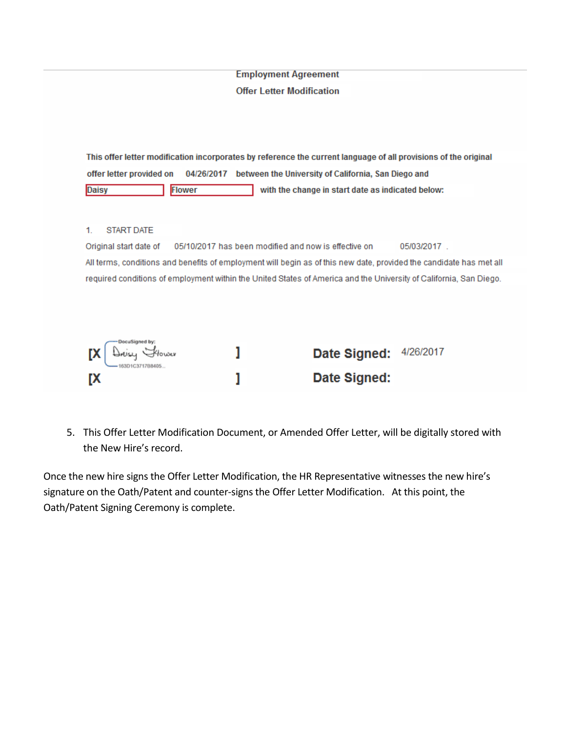| <b>Offer Letter Modification</b><br>This offer letter modification incorporates by reference the current language of all provisions of the original<br>offer letter provided on<br>04/26/2017 between the University of California, San Diego and<br><b>Flower</b><br>Daisy<br><b>START DATE</b><br>05/10/2017 has been modified and now is effective on<br>Original start date of<br>All terms, conditions and benefits of employment will begin as of this new date, provided the candidate has met all<br>required conditions of employment within the United States of America and the University of California, San Diego.<br>DocuSigned by: |                                                   |
|---------------------------------------------------------------------------------------------------------------------------------------------------------------------------------------------------------------------------------------------------------------------------------------------------------------------------------------------------------------------------------------------------------------------------------------------------------------------------------------------------------------------------------------------------------------------------------------------------------------------------------------------------|---------------------------------------------------|
|                                                                                                                                                                                                                                                                                                                                                                                                                                                                                                                                                                                                                                                   |                                                   |
|                                                                                                                                                                                                                                                                                                                                                                                                                                                                                                                                                                                                                                                   |                                                   |
|                                                                                                                                                                                                                                                                                                                                                                                                                                                                                                                                                                                                                                                   |                                                   |
|                                                                                                                                                                                                                                                                                                                                                                                                                                                                                                                                                                                                                                                   |                                                   |
|                                                                                                                                                                                                                                                                                                                                                                                                                                                                                                                                                                                                                                                   | with the change in start date as indicated below: |
|                                                                                                                                                                                                                                                                                                                                                                                                                                                                                                                                                                                                                                                   | 05/03/2017.                                       |
|                                                                                                                                                                                                                                                                                                                                                                                                                                                                                                                                                                                                                                                   |                                                   |
|                                                                                                                                                                                                                                                                                                                                                                                                                                                                                                                                                                                                                                                   | 4/26/2017<br>Date Signed:                         |
| 163D1C3717B8405<br>Date Signed:<br>[X                                                                                                                                                                                                                                                                                                                                                                                                                                                                                                                                                                                                             |                                                   |

5. This Offer Letter Modification Document, or Amended Offer Letter, will be digitally stored with the New Hire's record.

Once the new hire signs the Offer Letter Modification, the HR Representative witnesses the new hire's signature on the Oath/Patent and counter-signs the Offer Letter Modification. At this point, the Oath/Patent Signing Ceremony is complete.